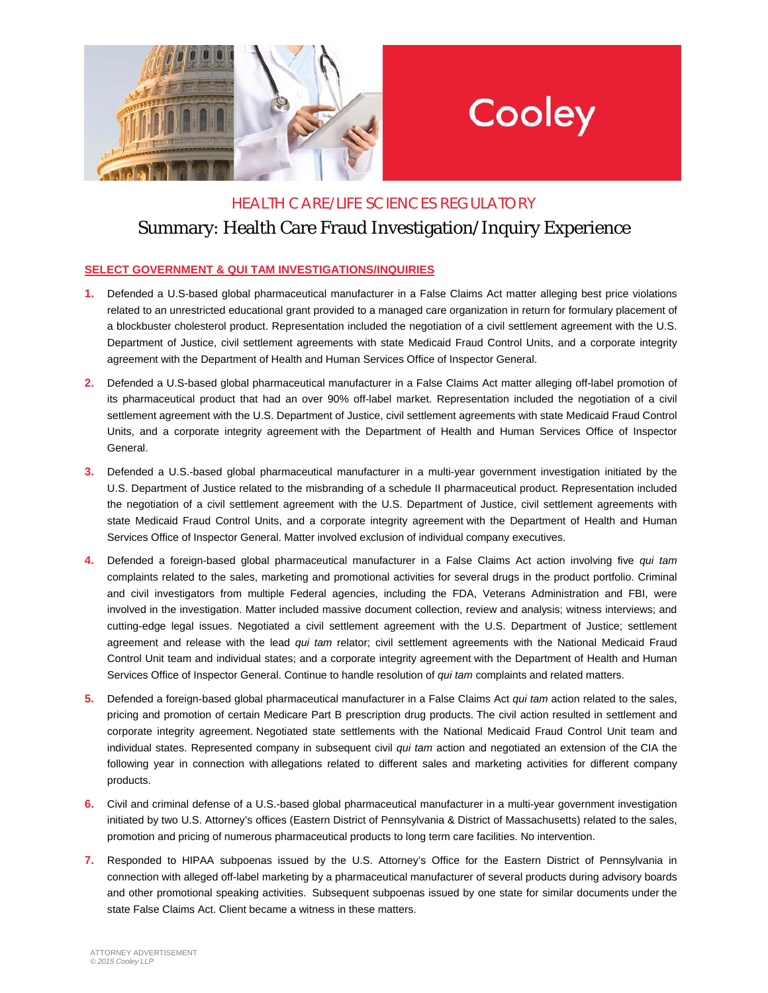

## Cooley

## HEALTH CARE/LIFE SCIENCES REGULATORY Summary: Health Care Fraud Investigation/Inquiry Experience

## **SELECT GOVERNMENT & QUI TAM INVESTIGATIONS/INQUIRIES**

- **1.** Defended a U.S-based global pharmaceutical manufacturer in a False Claims Act matter alleging best price violations related to an unrestricted educational grant provided to a managed care organization in return for formulary placement of a blockbuster cholesterol product. Representation included the negotiation of a civil settlement agreement with the U.S. Department of Justice, civil settlement agreements with state Medicaid Fraud Control Units, and a corporate integrity agreement with the Department of Health and Human Services Office of Inspector General.
- **2.** Defended a U.S-based global pharmaceutical manufacturer in a False Claims Act matter alleging off-label promotion of its pharmaceutical product that had an over 90% off-label market. Representation included the negotiation of a civil settlement agreement with the U.S. Department of Justice, civil settlement agreements with state Medicaid Fraud Control Units, and a corporate integrity agreement with the Department of Health and Human Services Office of Inspector General.
- **3.** Defended a U.S.-based global pharmaceutical manufacturer in a multi-year government investigation initiated by the U.S. Department of Justice related to the misbranding of a schedule II pharmaceutical product. Representation included the negotiation of a civil settlement agreement with the U.S. Department of Justice, civil settlement agreements with state Medicaid Fraud Control Units, and a corporate integrity agreement with the Department of Health and Human Services Office of Inspector General. Matter involved exclusion of individual company executives.
- **4.** Defended a foreign-based global pharmaceutical manufacturer in a False Claims Act action involving five *qui tam* complaints related to the sales, marketing and promotional activities for several drugs in the product portfolio. Criminal and civil investigators from multiple Federal agencies, including the FDA, Veterans Administration and FBI, were involved in the investigation. Matter included massive document collection, review and analysis; witness interviews; and cutting-edge legal issues. Negotiated a civil settlement agreement with the U.S. Department of Justice; settlement agreement and release with the lead *qui tam* relator; civil settlement agreements with the National Medicaid Fraud Control Unit team and individual states; and a corporate integrity agreement with the Department of Health and Human Services Office of Inspector General. Continue to handle resolution of *qui tam* complaints and related matters.
- **5.** Defended a foreign-based global pharmaceutical manufacturer in a False Claims Act *qui tam* action related to the sales, pricing and promotion of certain Medicare Part B prescription drug products. The civil action resulted in settlement and corporate integrity agreement. Negotiated state settlements with the National Medicaid Fraud Control Unit team and individual states. Represented company in subsequent civil *qui tam* action and negotiated an extension of the CIA the following year in connection with allegations related to different sales and marketing activities for different company products.
- **6.** Civil and criminal defense of a U.S.-based global pharmaceutical manufacturer in a multi-year government investigation initiated by two U.S. Attorney's offices (Eastern District of Pennsylvania & District of Massachusetts) related to the sales, promotion and pricing of numerous pharmaceutical products to long term care facilities. No intervention.
- **7.** Responded to HIPAA subpoenas issued by the U.S. Attorney's Office for the Eastern District of Pennsylvania in connection with alleged off-label marketing by a pharmaceutical manufacturer of several products during advisory boards and other promotional speaking activities. Subsequent subpoenas issued by one state for similar documents under the state False Claims Act. Client became a witness in these matters.